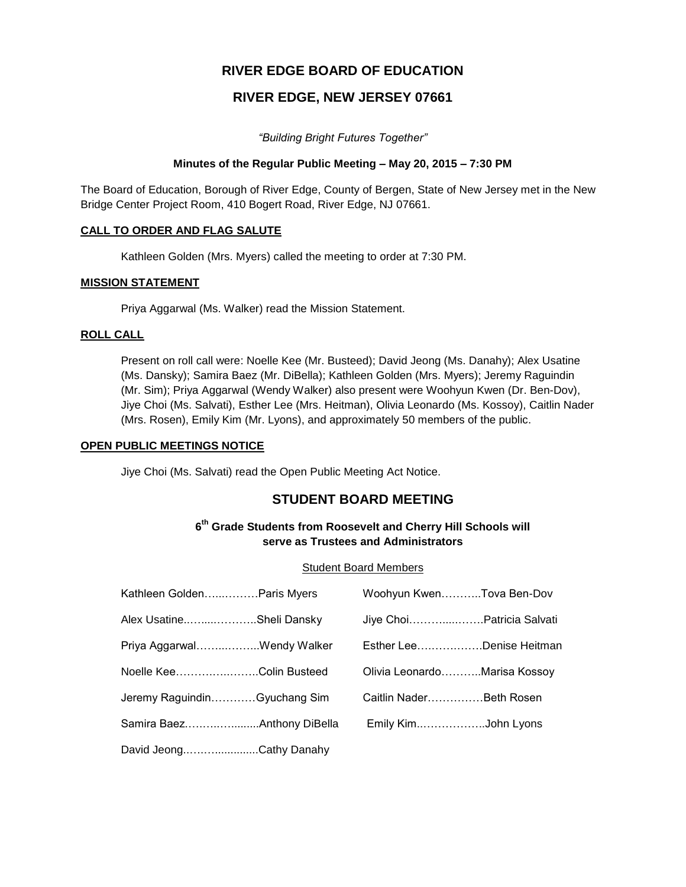# **RIVER EDGE BOARD OF EDUCATION**

# **RIVER EDGE, NEW JERSEY 07661**

*"Building Bright Futures Together"*

## **Minutes of the Regular Public Meeting – May 20, 2015 – 7:30 PM**

The Board of Education, Borough of River Edge, County of Bergen, State of New Jersey met in the New Bridge Center Project Room, 410 Bogert Road, River Edge, NJ 07661.

## **CALL TO ORDER AND FLAG SALUTE**

Kathleen Golden (Mrs. Myers) called the meeting to order at 7:30 PM.

## **MISSION STATEMENT**

Priya Aggarwal (Ms. Walker) read the Mission Statement.

## **ROLL CALL**

Present on roll call were: Noelle Kee (Mr. Busteed); David Jeong (Ms. Danahy); Alex Usatine (Ms. Dansky); Samira Baez (Mr. DiBella); Kathleen Golden (Mrs. Myers); Jeremy Raguindin (Mr. Sim); Priya Aggarwal (Wendy Walker) also present were Woohyun Kwen (Dr. Ben-Dov), Jiye Choi (Ms. Salvati), Esther Lee (Mrs. Heitman), Olivia Leonardo (Ms. Kossoy), Caitlin Nader (Mrs. Rosen), Emily Kim (Mr. Lyons), and approximately 50 members of the public.

#### **OPEN PUBLIC MEETINGS NOTICE**

Jiye Choi (Ms. Salvati) read the Open Public Meeting Act Notice.

# **STUDENT BOARD MEETING**

## **6 th Grade Students from Roosevelt and Cherry Hill Schools will serve as Trustees and Administrators**

#### Student Board Members

| Kathleen GoldenParis Myers   | Woohyun KwenTova Ben-Dov     |  |
|------------------------------|------------------------------|--|
| Alex UsatineSheli Dansky     | Jiye ChoiPatricia Salvati    |  |
| Priya AggarwalWendy Walker   | Esther LeeDenise Heitman     |  |
| Noelle KeeColin Busteed      | Olivia LeonardoMarisa Kossoy |  |
| Jeremy RaguindinGyuchang Sim | Caitlin NaderBeth Rosen      |  |
|                              | Emily KimJohn Lyons          |  |
| David JeongCathy Danahy      |                              |  |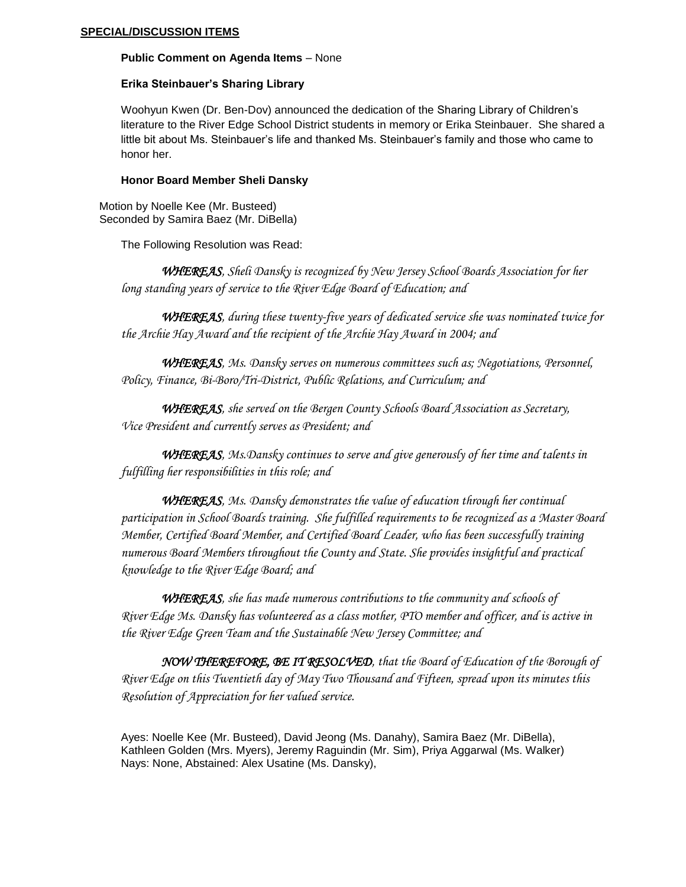#### **Public Comment on Agenda Items** – None

## **Erika Steinbauer's Sharing Library**

Woohyun Kwen (Dr. Ben-Dov) announced the dedication of the Sharing Library of Children's literature to the River Edge School District students in memory or Erika Steinbauer. She shared a little bit about Ms. Steinbauer's life and thanked Ms. Steinbauer's family and those who came to honor her.

## **Honor Board Member Sheli Dansky**

 Motion by Noelle Kee (Mr. Busteed) Seconded by Samira Baez (Mr. DiBella)

The Following Resolution was Read:

 *WHEREAS, Sheli Dansky is recognized by New Jersey School Boards Association for her long standing years of service to the River Edge Board of Education; and*

*WHEREAS, during these twenty-five years of dedicated service she was nominated twice for the Archie Hay Award and the recipient of the Archie Hay Award in 2004; and*

*WHEREAS, Ms. Dansky serves on numerous committees such as; Negotiations, Personnel, Policy, Finance, Bi-Boro/Tri-District, Public Relations, and Curriculum; and*

*WHEREAS, she served on the Bergen County Schools Board Association as Secretary, Vice President and currently serves as President; and*

*WHEREAS, Ms.Dansky continues to serve and give generously of her time and talents in fulfilling her responsibilities in this role; and*

*WHEREAS, Ms. Dansky demonstrates the value of education through her continual participation in School Boards training. She fulfilled requirements to be recognized as a Master Board Member, Certified Board Member, and Certified Board Leader, who has been successfully training numerous Board Members throughout the County and State. She provides insightful and practical knowledge to the River Edge Board; and*

*WHEREAS, she has made numerous contributions to the community and schools of River Edge Ms. Dansky has volunteered as a class mother, PTO member and officer, and is active in the River Edge Green Team and the Sustainable New Jersey Committee; and*

*NOW THEREFORE, BE IT RESOLVED, that the Board of Education of the Borough of River Edge on this Twentieth day of May Two Thousand and Fifteen, spread upon its minutes this Resolution of Appreciation for her valued service.*

Ayes: Noelle Kee (Mr. Busteed), David Jeong (Ms. Danahy), Samira Baez (Mr. DiBella), Kathleen Golden (Mrs. Myers), Jeremy Raguindin (Mr. Sim), Priya Aggarwal (Ms. Walker) Nays: None, Abstained: Alex Usatine (Ms. Dansky),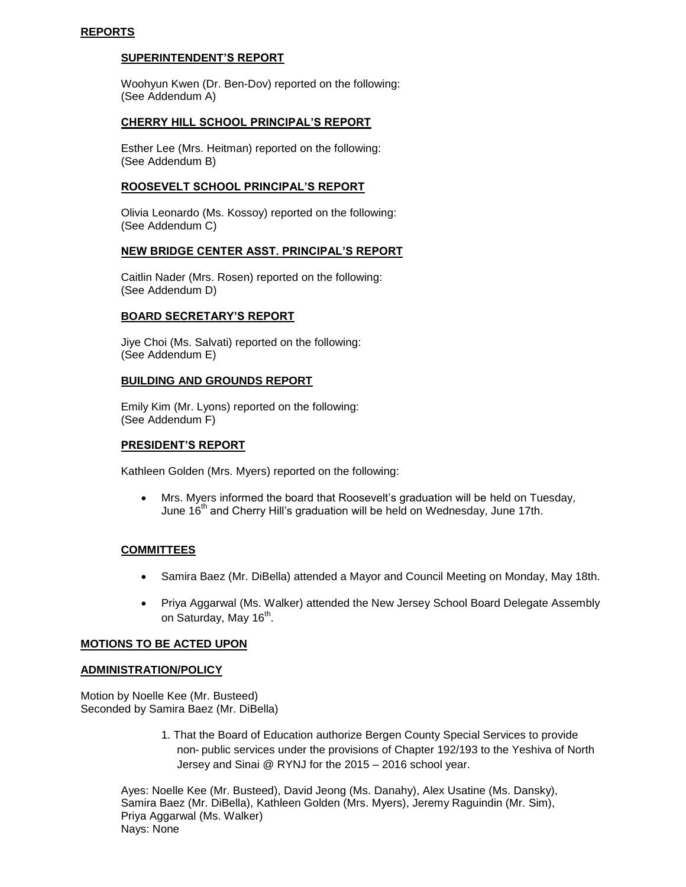#### **SUPERINTENDENT'S REPORT**

Woohyun Kwen (Dr. Ben-Dov) reported on the following: (See Addendum A)

#### **CHERRY HILL SCHOOL PRINCIPAL'S REPORT**

Esther Lee (Mrs. Heitman) reported on the following: (See Addendum B)

## **ROOSEVELT SCHOOL PRINCIPAL'S REPORT**

Olivia Leonardo (Ms. Kossoy) reported on the following: (See Addendum C)

## **NEW BRIDGE CENTER ASST. PRINCIPAL'S REPORT**

Caitlin Nader (Mrs. Rosen) reported on the following: (See Addendum D)

## **BOARD SECRETARY'S REPORT**

Jiye Choi (Ms. Salvati) reported on the following: (See Addendum E)

## **BUILDING AND GROUNDS REPORT**

Emily Kim (Mr. Lyons) reported on the following: (See Addendum F)

#### **PRESIDENT'S REPORT**

Kathleen Golden (Mrs. Myers) reported on the following:

 Mrs. Myers informed the board that Roosevelt's graduation will be held on Tuesday, June 16<sup>th</sup> and Cherry Hill's graduation will be held on Wednesday, June 17th.

## **COMMITTEES**

- Samira Baez (Mr. DiBella) attended a Mayor and Council Meeting on Monday, May 18th.
- Priya Aggarwal (Ms. Walker) attended the New Jersey School Board Delegate Assembly on Saturday, May 16<sup>th</sup>.

#### **MOTIONS TO BE ACTED UPON**

#### **ADMINISTRATION/POLICY**

Motion by Noelle Kee (Mr. Busteed) Seconded by Samira Baez (Mr. DiBella)

> 1. That the Board of Education authorize Bergen County Special Services to provide non- public services under the provisions of Chapter 192/193 to the Yeshiva of North Jersey and Sinai @ RYNJ for the 2015 – 2016 school year.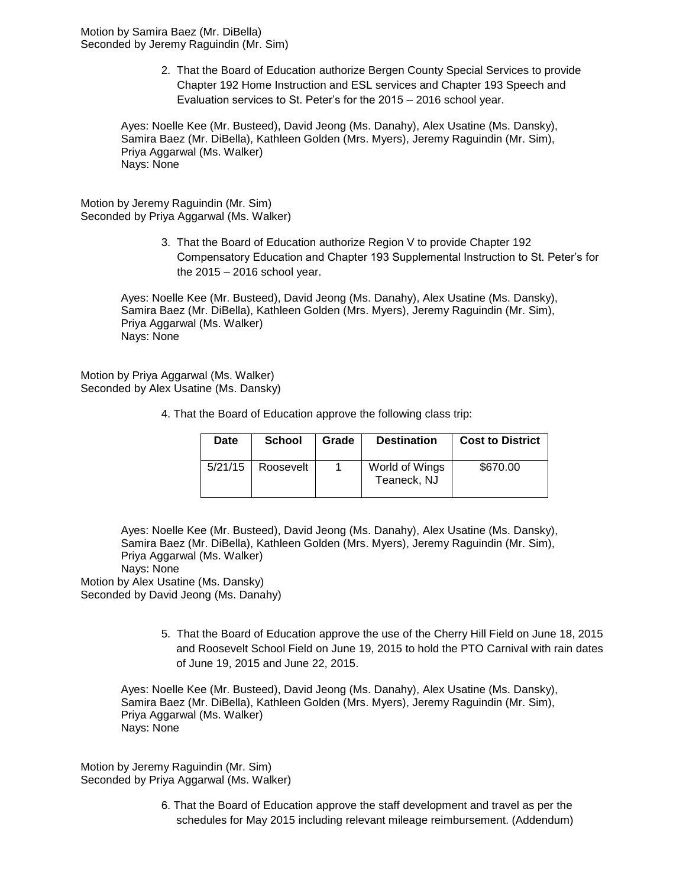Motion by Samira Baez (Mr. DiBella) Seconded by Jeremy Raguindin (Mr. Sim)

> 2. That the Board of Education authorize Bergen County Special Services to provide Chapter 192 Home Instruction and ESL services and Chapter 193 Speech and Evaluation services to St. Peter's for the 2015 – 2016 school year.

Ayes: Noelle Kee (Mr. Busteed), David Jeong (Ms. Danahy), Alex Usatine (Ms. Dansky), Samira Baez (Mr. DiBella), Kathleen Golden (Mrs. Myers), Jeremy Raguindin (Mr. Sim), Priya Aggarwal (Ms. Walker) Nays: None

Motion by Jeremy Raguindin (Mr. Sim) Seconded by Priya Aggarwal (Ms. Walker)

> 3. That the Board of Education authorize Region V to provide Chapter 192 Compensatory Education and Chapter 193 Supplemental Instruction to St. Peter's for the 2015 – 2016 school year.

Ayes: Noelle Kee (Mr. Busteed), David Jeong (Ms. Danahy), Alex Usatine (Ms. Dansky), Samira Baez (Mr. DiBella), Kathleen Golden (Mrs. Myers), Jeremy Raguindin (Mr. Sim), Priya Aggarwal (Ms. Walker) Nays: None

Motion by Priya Aggarwal (Ms. Walker) Seconded by Alex Usatine (Ms. Dansky)

| Date    | <b>School</b> | Grade | <b>Destination</b>            | <b>Cost to District</b> |
|---------|---------------|-------|-------------------------------|-------------------------|
| 5/21/15 | Roosevelt     |       | World of Wings<br>Teaneck, NJ | \$670.00                |

4. That the Board of Education approve the following class trip:

Ayes: Noelle Kee (Mr. Busteed), David Jeong (Ms. Danahy), Alex Usatine (Ms. Dansky), Samira Baez (Mr. DiBella), Kathleen Golden (Mrs. Myers), Jeremy Raguindin (Mr. Sim), Priya Aggarwal (Ms. Walker) Nays: None

Motion by Alex Usatine (Ms. Dansky) Seconded by David Jeong (Ms. Danahy)

> 5. That the Board of Education approve the use of the Cherry Hill Field on June 18, 2015 and Roosevelt School Field on June 19, 2015 to hold the PTO Carnival with rain dates of June 19, 2015 and June 22, 2015.

Ayes: Noelle Kee (Mr. Busteed), David Jeong (Ms. Danahy), Alex Usatine (Ms. Dansky), Samira Baez (Mr. DiBella), Kathleen Golden (Mrs. Myers), Jeremy Raguindin (Mr. Sim), Priya Aggarwal (Ms. Walker) Nays: None

Motion by Jeremy Raguindin (Mr. Sim) Seconded by Priya Aggarwal (Ms. Walker)

> 6. That the Board of Education approve the staff development and travel as per the schedules for May 2015 including relevant mileage reimbursement. (Addendum)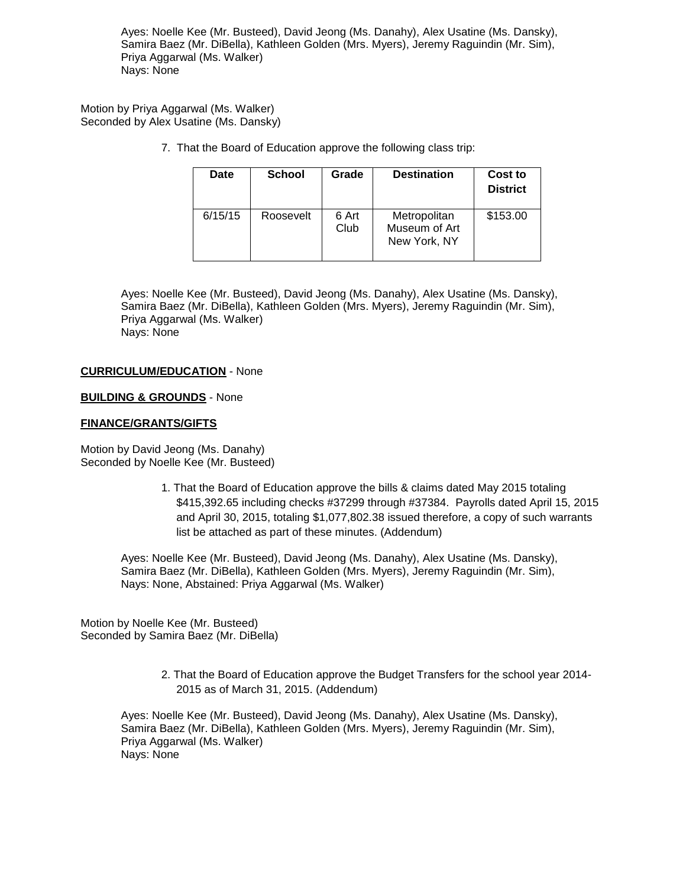Ayes: Noelle Kee (Mr. Busteed), David Jeong (Ms. Danahy), Alex Usatine (Ms. Dansky), Samira Baez (Mr. DiBella), Kathleen Golden (Mrs. Myers), Jeremy Raguindin (Mr. Sim), Priya Aggarwal (Ms. Walker) Nays: None

Motion by Priya Aggarwal (Ms. Walker) Seconded by Alex Usatine (Ms. Dansky)

7. That the Board of Education approve the following class trip:

| Date    | <b>School</b> | Grade         | <b>Destination</b>                            | Cost to<br><b>District</b> |
|---------|---------------|---------------|-----------------------------------------------|----------------------------|
| 6/15/15 | Roosevelt     | 6 Art<br>Club | Metropolitan<br>Museum of Art<br>New York, NY | \$153.00                   |

Ayes: Noelle Kee (Mr. Busteed), David Jeong (Ms. Danahy), Alex Usatine (Ms. Dansky), Samira Baez (Mr. DiBella), Kathleen Golden (Mrs. Myers), Jeremy Raguindin (Mr. Sim), Priya Aggarwal (Ms. Walker) Nays: None

#### **CURRICULUM/EDUCATION** - None

#### **BUILDING & GROUNDS** - None

#### **FINANCE/GRANTS/GIFTS**

Motion by David Jeong (Ms. Danahy) Seconded by Noelle Kee (Mr. Busteed)

> 1. That the Board of Education approve the bills & claims dated May 2015 totaling \$415,392.65 including checks #37299 through #37384. Payrolls dated April 15, 2015 and April 30, 2015, totaling \$1,077,802.38 issued therefore, a copy of such warrants list be attached as part of these minutes. (Addendum)

Ayes: Noelle Kee (Mr. Busteed), David Jeong (Ms. Danahy), Alex Usatine (Ms. Dansky), Samira Baez (Mr. DiBella), Kathleen Golden (Mrs. Myers), Jeremy Raguindin (Mr. Sim), Nays: None, Abstained: Priya Aggarwal (Ms. Walker)

Motion by Noelle Kee (Mr. Busteed) Seconded by Samira Baez (Mr. DiBella)

> 2. That the Board of Education approve the Budget Transfers for the school year 2014- 2015 as of March 31, 2015. (Addendum)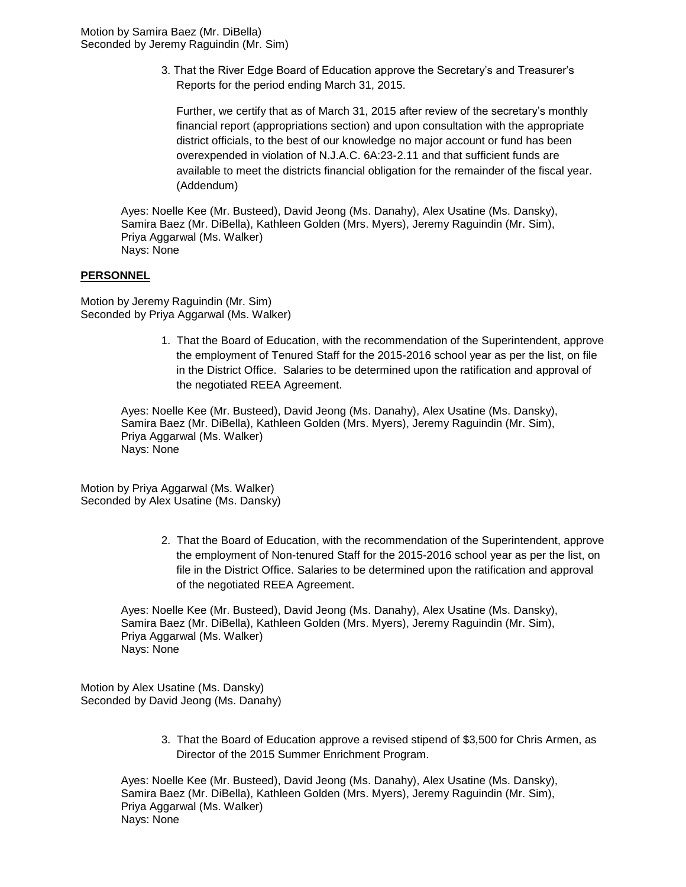3. That the River Edge Board of Education approve the Secretary's and Treasurer's Reports for the period ending March 31, 2015.

Further, we certify that as of March 31, 2015 after review of the secretary's monthly financial report (appropriations section) and upon consultation with the appropriate district officials, to the best of our knowledge no major account or fund has been overexpended in violation of N.J.A.C. 6A:23-2.11 and that sufficient funds are available to meet the districts financial obligation for the remainder of the fiscal year. (Addendum)

Ayes: Noelle Kee (Mr. Busteed), David Jeong (Ms. Danahy), Alex Usatine (Ms. Dansky), Samira Baez (Mr. DiBella), Kathleen Golden (Mrs. Myers), Jeremy Raguindin (Mr. Sim), Priya Aggarwal (Ms. Walker) Nays: None

## **PERSONNEL**

Motion by Jeremy Raguindin (Mr. Sim) Seconded by Priya Aggarwal (Ms. Walker)

> 1. That the Board of Education, with the recommendation of the Superintendent, approve the employment of Tenured Staff for the 2015-2016 school year as per the list, on file in the District Office. Salaries to be determined upon the ratification and approval of the negotiated REEA Agreement.

Ayes: Noelle Kee (Mr. Busteed), David Jeong (Ms. Danahy), Alex Usatine (Ms. Dansky), Samira Baez (Mr. DiBella), Kathleen Golden (Mrs. Myers), Jeremy Raguindin (Mr. Sim), Priya Aggarwal (Ms. Walker) Nays: None

Motion by Priya Aggarwal (Ms. Walker) Seconded by Alex Usatine (Ms. Dansky)

> 2. That the Board of Education, with the recommendation of the Superintendent, approve the employment of Non-tenured Staff for the 2015-2016 school year as per the list, on file in the District Office. Salaries to be determined upon the ratification and approval of the negotiated REEA Agreement.

Ayes: Noelle Kee (Mr. Busteed), David Jeong (Ms. Danahy), Alex Usatine (Ms. Dansky), Samira Baez (Mr. DiBella), Kathleen Golden (Mrs. Myers), Jeremy Raguindin (Mr. Sim), Priya Aggarwal (Ms. Walker) Nays: None

Motion by Alex Usatine (Ms. Dansky) Seconded by David Jeong (Ms. Danahy)

> 3. That the Board of Education approve a revised stipend of \$3,500 for Chris Armen, as Director of the 2015 Summer Enrichment Program.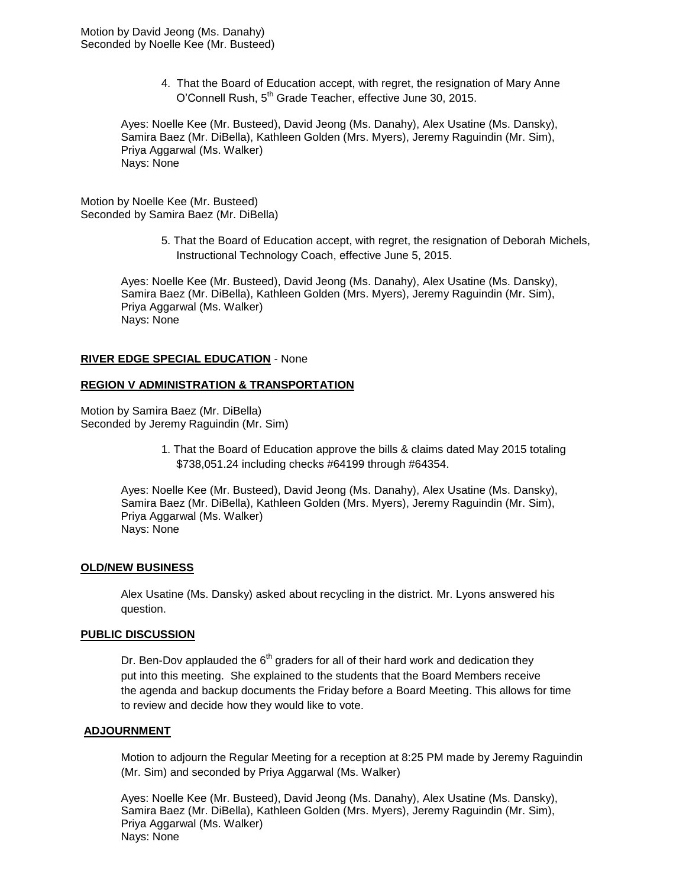4. That the Board of Education accept, with regret, the resignation of Mary Anne O'Connell Rush, 5<sup>th</sup> Grade Teacher, effective June 30, 2015.

Ayes: Noelle Kee (Mr. Busteed), David Jeong (Ms. Danahy), Alex Usatine (Ms. Dansky), Samira Baez (Mr. DiBella), Kathleen Golden (Mrs. Myers), Jeremy Raguindin (Mr. Sim), Priya Aggarwal (Ms. Walker) Nays: None

Motion by Noelle Kee (Mr. Busteed) Seconded by Samira Baez (Mr. DiBella)

> 5. That the Board of Education accept, with regret, the resignation of Deborah Michels, Instructional Technology Coach, effective June 5, 2015.

Ayes: Noelle Kee (Mr. Busteed), David Jeong (Ms. Danahy), Alex Usatine (Ms. Dansky), Samira Baez (Mr. DiBella), Kathleen Golden (Mrs. Myers), Jeremy Raguindin (Mr. Sim), Priya Aggarwal (Ms. Walker) Nays: None

#### **RIVER EDGE SPECIAL EDUCATION** - None

#### **REGION V ADMINISTRATION & TRANSPORTATION**

Motion by Samira Baez (Mr. DiBella) Seconded by Jeremy Raguindin (Mr. Sim)

> 1. That the Board of Education approve the bills & claims dated May 2015 totaling \$738,051.24 including checks #64199 through #64354.

Ayes: Noelle Kee (Mr. Busteed), David Jeong (Ms. Danahy), Alex Usatine (Ms. Dansky), Samira Baez (Mr. DiBella), Kathleen Golden (Mrs. Myers), Jeremy Raguindin (Mr. Sim), Priya Aggarwal (Ms. Walker) Nays: None

#### **OLD/NEW BUSINESS**

Alex Usatine (Ms. Dansky) asked about recycling in the district. Mr. Lyons answered his question.

#### **PUBLIC DISCUSSION**

Dr. Ben-Dov applauded the  $6<sup>th</sup>$  graders for all of their hard work and dedication they put into this meeting. She explained to the students that the Board Members receive the agenda and backup documents the Friday before a Board Meeting. This allows for time to review and decide how they would like to vote.

#### **ADJOURNMENT**

Motion to adjourn the Regular Meeting for a reception at 8:25 PM made by Jeremy Raguindin (Mr. Sim) and seconded by Priya Aggarwal (Ms. Walker)